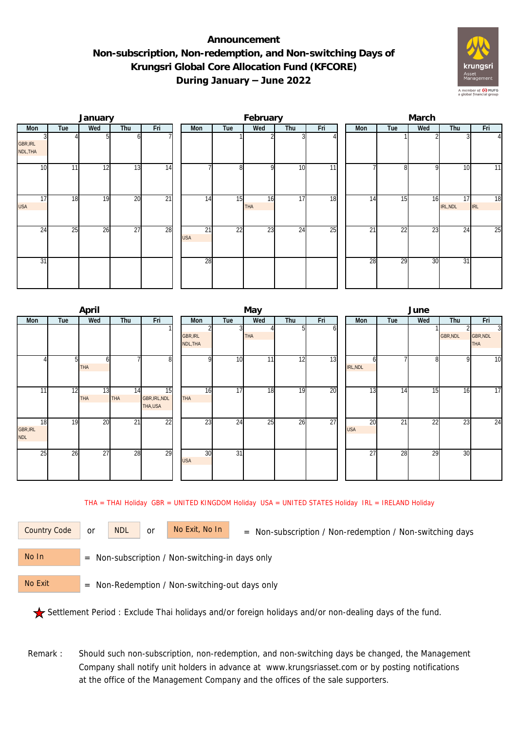## **Announcement Non-subscription, Non-redemption, and Non-switching Days of Krungsri Global Core Allocation Fund (KFCORE) During January – June 2022**



|                               |     | January |                 |                 |                               |                 | February         |                 |     | March |     |                 |     |                |                  |  |
|-------------------------------|-----|---------|-----------------|-----------------|-------------------------------|-----------------|------------------|-----------------|-----|-------|-----|-----------------|-----|----------------|------------------|--|
| Mon                           | Tue | Wed     | Thu             | Fri             | Mon                           | Tue             | Wed              | Thu             | Fri |       | Mon | Tue             | Wed | Thu            | Fri              |  |
| <b>GBR, IRL</b><br>NDL, THA   |     |         |                 |                 |                               |                 |                  |                 |     |       |     |                 |     |                | $\frac{4}{3}$    |  |
| 10                            | 11  | 12      | $1\overline{3}$ | 14              |                               | 8               | $\Omega$         | 10              | 11  |       |     | 81              | -Q  | 10             | 11               |  |
| $1\overline{7}$<br><b>USA</b> | 18  | 19      | 20              | $\overline{21}$ | 14                            | 15              | 16<br><b>THA</b> | $1\overline{7}$ | 18  |       | 14  | 15              | 16  | 17<br>IRL, NDL | 18<br><b>IRL</b> |  |
| 24                            | 25  | 26      | $\overline{27}$ | 28              | $\overline{21}$<br><b>USA</b> | $\overline{22}$ | 23               | 24              | 25  |       | 21  | $\overline{22}$ | 23  | 24             | 25               |  |
| 31                            |     |         |                 |                 | 28                            |                 |                  |                 |     |       | 28  | 29              | 30  | 31             |                  |  |

|                       |     | April            |                 |                                |                      |                 | May |     |     | June             |     |     |          |                                          |  |  |
|-----------------------|-----|------------------|-----------------|--------------------------------|----------------------|-----------------|-----|-----|-----|------------------|-----|-----|----------|------------------------------------------|--|--|
| Mon                   | Tue | Wed              | Thu             | Fri                            | Mon                  | Tue             | Wed | Thu | Fri | Mon              | Tue | Wed | Thu      | Fri                                      |  |  |
|                       |     |                  |                 |                                | GBR, IRL<br>NDL, THA |                 | THA |     | ΩI  |                  |     |     | GBR, NDL | $\overline{3}$<br>GBR, NDL<br><b>THA</b> |  |  |
|                       | 51  | b<br><b>THA</b>  |                 | 8                              | $\Omega$             | 10              | 11  | 12  | 13  | n<br>IRL, NDL    |     | 8   | 9        | 10                                       |  |  |
| 11                    | 12  | 13<br><b>THA</b> | 14<br>THA       | 15<br>GBR, IRL, NDL<br>THA,USA | 16<br>THA            | 17              | 18  | 19  | 20  | $1\overline{3}$  | 14  | 15  | 16       | 17                                       |  |  |
| 18<br>GBR, IRL<br>NDL | 19  | 20               | $\overline{21}$ | $\overline{22}$                | $2\overline{3}$      | 24              | 25  | 26  | 27  | 20<br><b>USA</b> | 21  | 22  | 23       | 24                                       |  |  |
| 25                    | 26  | 27               | 28              | 29                             | 30<br><b>USA</b>     | $\overline{31}$ |     |     |     | 27               | 28  | 29  | 30       |                                          |  |  |

THA = THAI Holiday GBR = UNITED KINGDOM Holiday USA = UNITED STATES Holiday IRL = IRELAND Holiday

or NDL or

Country Code or NDL or No Exit, No In = Non-subscription / Non-redemption / Non-switching days

 = Non-subscription / Non-switching-in days only No In

 = Non-Redemption / Non-switching-out days only No Exit

Settlement Period : Exclude Thai holidays and/or foreign holidays and/or non-dealing days of the fund.

Remark : Should such non-subscription, non-redemption, and non-switching days be changed, the Management Company shall notify unit holders in advance at www.krungsriasset.com or by posting notifications at the office of the Management Company and the offices of the sale supporters.